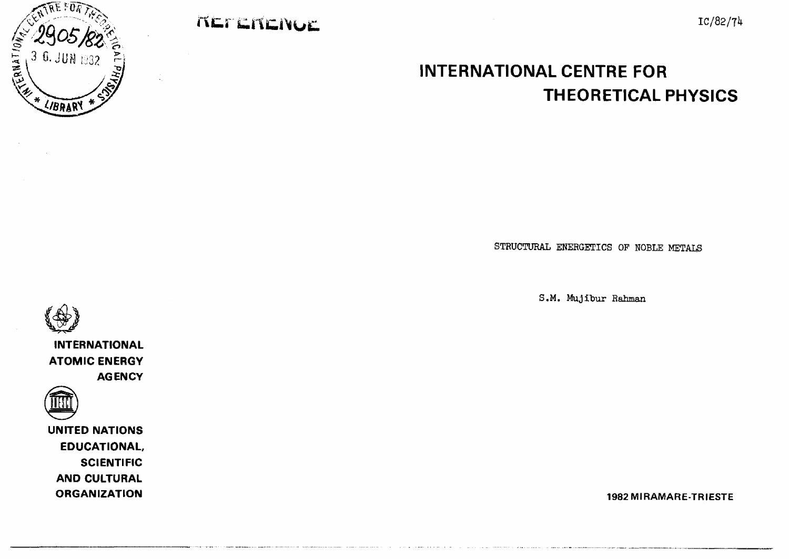

## **KETERENGE**

# **INTERNATIONAL CENTRE FOR THEORETICAL PHYSICS**

STRUCTURAL ENERGETICS OF NOBLE METALS

S.M. Mujlbur Rahman



**ATOMIC ENERGY**

**AGENCY**



**UNITED NATIONS EDUCATIONAL, SCIENTIFIC AND CULTURAL**

**ORGANIZATION 1982MIRAMARE-TRIESTE**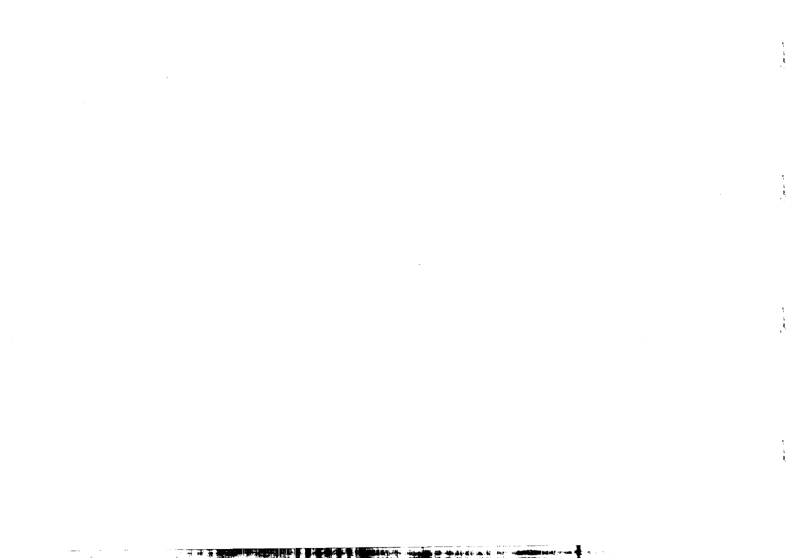$\label{eq:2.1} \mathcal{L}(\mathcal{L}^{\text{max}}_{\text{max}}(\mathcal{L}^{\text{max}}_{\text{max}}(\mathcal{L}^{\text{max}}_{\text{max}}(\mathcal{L}^{\text{max}}_{\text{max}})))$ 

المجاور والمستد

**THE RELEASE OF STANDARD AND COMMUNICATIONS**  $\frac{1}{2}$ 

 $\label{eq:2.1} \frac{1}{\sqrt{2}}\left(\frac{1}{\sqrt{2}}\right)^{2} \left(\frac{1}{\sqrt{2}}\right)^{2} \left(\frac{1}{\sqrt{2}}\right)^{2} \left(\frac{1}{\sqrt{2}}\right)^{2} \left(\frac{1}{\sqrt{2}}\right)^{2} \left(\frac{1}{\sqrt{2}}\right)^{2} \left(\frac{1}{\sqrt{2}}\right)^{2} \left(\frac{1}{\sqrt{2}}\right)^{2} \left(\frac{1}{\sqrt{2}}\right)^{2} \left(\frac{1}{\sqrt{2}}\right)^{2} \left(\frac{1}{\sqrt{2}}\right)^{2} \left(\$ 

 $\Lambda^+$  $\begin{array}{c} 3 \\ 4 \\ 7 \end{array}$ 

 $\frac{3}{3}$ 

 $\Delta \sim 10^{11}$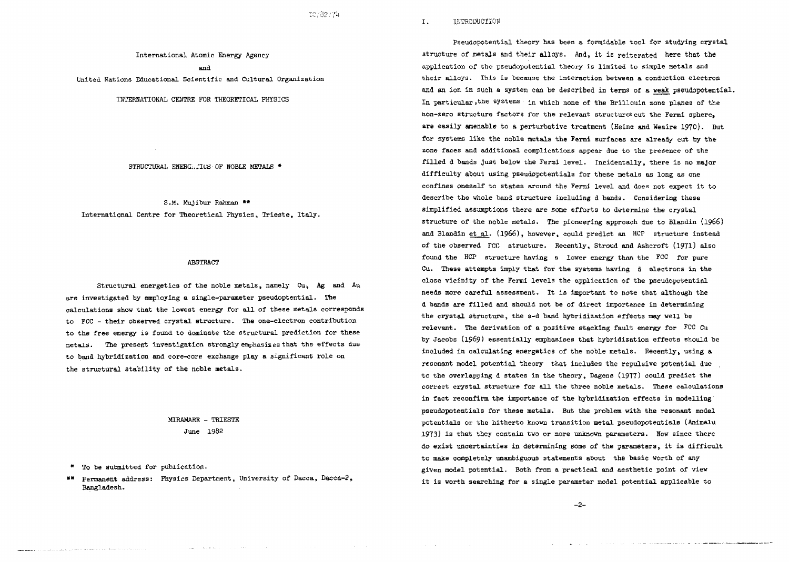International Atomic Energy Agency and United Rations Educational Scientific and Cultural Organization

INTERNATIONAL CENTRE FOR THEORETICAL PHYSICS

STRUCTURAL ENERGINIUS OF NOBLE METALS \*

S.M. Mujibur Rahman \*\* International Centre for Theoretical Physics, Trieste, Italy.

#### ABSTRACT

Structural energetics of the noble metals, namely Cu, Ag and Au are investigated by employing a single-parameter pseudoptential. The calculations show that the lowest energy for all of these metals corresponds to FCC - their observed crystal structure. The one-electron contribution to the free energy is found to dominate the structural prediction for these metals. The present investigation strongly emphasises that the effects due to band hybridization and core-core exchange play a significant role on the structural stability of the noble metals.

### MIRAMARE - TRIESTE June 1982

" To be submitted for publication.

•• Permanent address: Physics Department, University of Dacca, Dacea-2, Bangladesh.

المحامدات الهما

#### I. INTRODUCTION

Pseudopotential theory has been a formidable tool for studying crystal structure of metals and their alloys. And, it is reiterated here that the application of the pseudopotential theory is limited to simple metals and their alloys. This is because the interaction between a conduction electron and an ion in such a system can be described in terms of a weak pseudopotential. In particular,the systems in which none of the Brillouin zone planes of the non-zero structure factors for the relevant structures cut the Fermi sphere. are easily amenable to a perturbative treatment (Heine and Weaire 1970). But for systems like the noble metals the Fermi surfaces are already cut by the zone faces and additional complications appear due to the presence of the filled d bands just below the Fermi level. Incidentally, there is no major difficulty about using pseudopotentials for these metals as long as one confines oneself to states around the Fermi level and does not expect it to describe the whole band structure including d bands. Considering these simplified assumptions there are some efforts to determine the crystal structure of the noble metals. The pioneering approach due to Blandin (1966) and Blandin et al. (1966), however, could predict an HCP structure instead of the observed FCC structure. Recently, Stroud and Ashcroft (1971) also found the HCP structure having a lower energy than the FCC for pure Cu. These attempts imply that for the systems having d electrons in the close vicinity of the Fermi levels the application of the pseudopotential needs more careful assessment. It is important to note that although the d bands are filled and should not be of direct importance in determining the crystal structure, the a-d band hybridization effects may well be relevant. The derivation of a positive stacking fault energy for FCC Cu by Jacobs (1969) essentially emphasises that hybridization effects should be included in calculating energetics of the noble metals. Recently, using a resonant model potential theory that includes the repulsive potential due to the overlapping d states in the theory, Dagens (1977) could predict the correct crystal structure for all the three noble metals. These calculations in fact reconfirm the importance of the hybridization effects in modelling pseudopotentials for these metals. But the problem with the resonant model potentials or the hitherto known transition metal pseuaopotentials (Animalu 1973) is that they contain two or more unknown parameters. Now since there do exist uncertainties in determining some of the parameters, it is difficult to make completely unambiguous statements about the basic worth of any given model potential. Both from a practical and aesthetic point of view it is worth searching for a single parameter model potential applicable to

-2-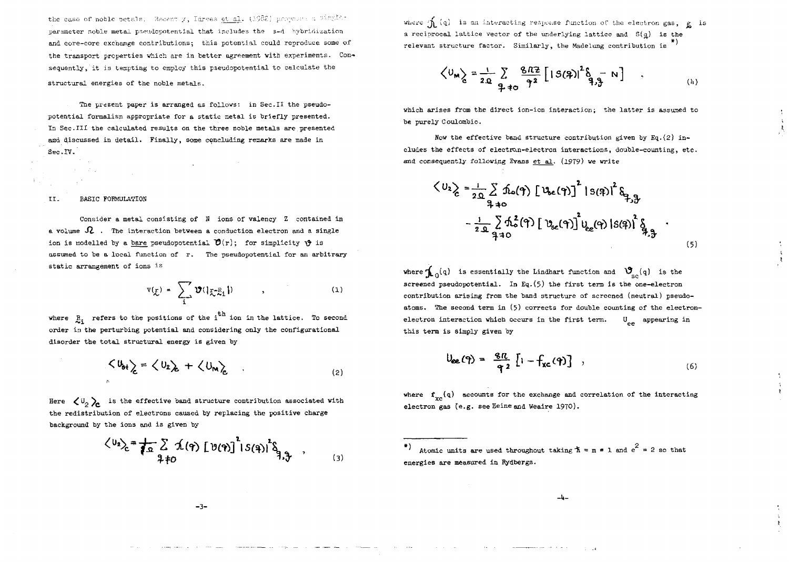the case of noble metals, Recentty, Idrees et al. (1982) proposers a pingleparameter noble metal paeudopotential that includes the s-d hybridisation and core-core exchange contributions; this potential could reproduce some of the transport properties which are in better agreement with experiments. Consequently, it is tempting to employ this pseudopotential to calculate the structural energies of the noble metals.

The present paper is arranged as follows; in Sec.II the pseudopotential formalism appropriate for a static metal is briefly presented. In Sec.Ill the calculated results on the three noble metals are presented and discussed in detail. Finally, some concluding remarks are made in 3ec.IV.'

#### II. BASIC FORMULATION

Consider a metal consisting of N ions of valency Z contained in a volume  $\Omega$ . The interaction between a conduction electron and a single ion is modelled by a bare pseudopotential  $\mathfrak{B}(r)$ ; for simplicity  $\vartheta$  is assumed to be a local function of r. The pseudopotential for an arbitrary static arrangement of ions is

$$
v(\underline{r}) = \sum_{i} \mathbf{V}(|\underline{r} - \underline{R}_i|) \qquad , \qquad (1)
$$

where  $\mathbb{R}_1$  refers to the positions of the i<sup>th</sup> ion in the lattice. To second order in the perturbing potential and considering only the configurational disorder the total structural energy is given by

$$
\langle U_{\mathbf{0}t} \rangle_{\mathbf{c}} = \langle U_2 \rangle_{\mathbf{c}} + \langle U_{\mathbf{M}} \rangle_{\mathbf{c}} \tag{2}
$$

Here  $\langle U_{2} \rangle$  is the effective band structure contribution associated with the redistribution of electrons caused by replacing the positive charge background by the ions and is given by

$$
\langle v_2 \rangle_{\mathcal{C}} = \frac{1}{4\pi} \sum_{\beta \neq 0} \hat{\Lambda}(\gamma) \left[ v(\gamma) \right]^2 |S(\beta)|^2 \hat{\delta}_{\beta, \beta}, \qquad (3)
$$

where  $\int_{\Omega} (q)$  is an interacting response function of the electron gas, g is a reciprocal lattice vector of the underlying lattice and  $S(q)$  is the relevant structure factor. Similarly, the Madelung contribution is

$$
\langle v_m \rangle = \frac{1}{2\Omega} \sum_{\phi \neq 0} \frac{8\pi \lambda}{\gamma^2} \left[ 1S(\phi)\right]^2 \delta_{\phi, \phi} - N \right]
$$

which arises from the direct ion-ion interaction; the latter is assumed to be purely Coulombic.

Now the effective band structure contribution given by Eq.(2) includes the effects of electro.n-electron interactions, double-counting, etc. and consequently following Evans et al. (1979) we write

$$
\langle U_{2}\rangle_{c} = \frac{1}{2\Omega} \sum_{\mathfrak{P} \ni c} f_{10}(\mathfrak{P}) \left[ U_{3c}(\mathfrak{P}) \right]^{2} |S(\mathfrak{P})|^{2} \delta_{\mathfrak{P}, \mathfrak{P}} - \frac{1}{2\Omega} \sum_{\mathfrak{P} \ni c} f_{10}^{2}(\mathfrak{P}) \left[ U_{3c}(\mathfrak{P}) \right]^{2} U_{2c}(\mathfrak{P}) |S(\mathfrak{P})|^{2} \delta_{\mathfrak{P}, \mathfrak{P}} \tag{5}
$$

where  $\oint_{\mathcal{C}}(q)$  is essentially the Lindhart function and  $\mathcal{V}_{\mathcal{C}}(q)$  is the screened pseudopotential. In Eq.  $(5)$  the first term is the one-electron contribution arising from the band structure of screened (neutral) pseudoatoms. The second term in (5) corrects for double counting of the electronelectron interaction which occurs in the first term.  $U_{\text{ge}}$  appearing in this term is simply given by

$$
\theta_{ee}(\gamma) = \frac{8R}{q^2} \left[ 1 - f_{xc}(\gamma) \right] , \qquad (6)
$$

where  $f_{\gamma_{\alpha}}(q)$  accounts for the exchange and correlation of the interacting electron gas [e.g. see Heine and Weaire 1970).

<sup>\*)</sup> Atomic units are used throughout taking  $\hbar = m = 1$  and  $e^2 = 2$  so that energies are measured in Rydbergs.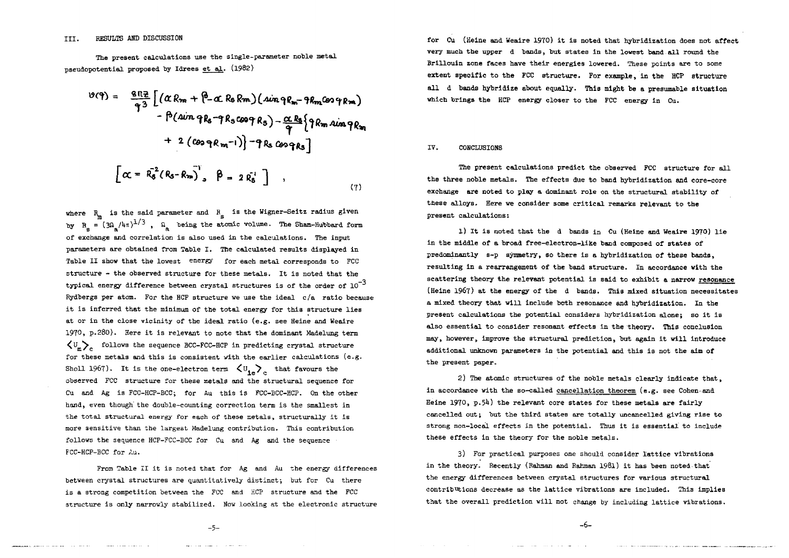#### TII. RESULTS AND DISCUSSION

The present calculations use the single-parameter noble metal pseudopotential proposed by Idrees et al. (1982)

$$
P(9) = \frac{8 \pi \frac{3}{2}}{\frac{93}{2}} \left[ (\alpha R_m + \beta - \alpha R_8 R_m) (\Delta m \gamma R_m - \gamma R_m \omega) \gamma R_m \right] - \beta (\Delta m \gamma R_8 - \gamma R_5 \omega) \gamma R_3) - \frac{\alpha R_8}{\gamma} \{ \gamma R_m \Delta m \gamma R_m + 2 (\omega) \gamma R_m - 1) \} - \gamma R_5 \omega \gamma R_5 \}
$$

$$
\left[ \alpha = R_8^{-2} (R_5 - R_m) \right]_3 \beta = 2 R_8^{-1} \quad , \tag{7}
$$

where  $R_m$  is the said parameter and  $R_s$  is the Wigner-Seitz radius given by  $R = (3\Omega / 4\pi)^{1/3}$ ,  $\Omega$  being the atomic volume. The Sham-Hutbbard form of exchange and correlation is also used in the calculations. The input parameters are obtained from Table I. The calculated results displayed in Table II show that the lovest energy for each metal corresponds to FCC structure - the observed structure for these metals. It is noted that the typical energy difference between crystal structures is of the order of  $10^{-3}$ Rydbergs per atom. For the HCP structure we use the ideal  $c/a$  ratio because it is inferred that the minimum of the total energy for this structure lies at or in the close vicinity of the ideal ratio (e.g. see Heine and Weaire 19T0, p.280). Here it is relevant to note that the dominant Madelung term  $\langle V_{\mu} \rangle$  follows the sequence BCC-FCC-HCP in predicting crystal structure for these metals and this is consistent with the earlier calculations (e.g. Sholl 1967). It is the one-electron term  $\langle U_{\mathbf{t}_\mathbf{p}} \rangle_c$  that favours the observed FCC structure for these metals and the structural sequence for Cu and Ag is FCC-HCP-BCC; for Au this is FCC-BCC-HCP. On the other hand, even though' the double-counting correction term is the smallest in the total structural energy for each of these metals, structurally it is more sensitive than the largest Madelung contribution. This contribution follows the sequence HCP-FCC-BCC for Cu and Ag and the sequence FCC-HCP-BCC for Au.

From Table II it is noted that for Ag and Au the energy differences between crystal structures are quantitatively distinct; but for Cu there is a strong competition between the FCC and HCP structure and the FCC structure is only narrowly stabilized. Now looking at the electronic structure

for Cu (Heine and Weaire 1970) it is noted that hybridization does not affect very much the upper d bands, but states in the lowest band all round the Brillouin zone faces have their energies lowered. These points are to some extent specific to the FCC structure. For example, in the HCP structure all d bands hybridize about equally. This might be a presumable situation which brings the HCP energy closer to the FCC energy in Cu.

#### IV. CONCLUSIONS

The present calculations predict the observed FCC structure for all the three noble metals. The effects due to band hybridization and core-core exchange are noted to play a dominant role on the structural stability of these alloys. Here we consider some critical remarks relevant to the present calculations:

1) It is noted that the d bands in Cu (Heine and Weaire 1970) lie in the middle of a broad free-electron-lilte band composed of states of predominantly s-p symmetry, so there Is a hybridization of these bands, resulting in a rearrangement of the band structure. In accordance with the scattering theory the relevant potential is said to exhibit a narrow resonance (Heine 1967) at the energy of the d bands. This mixed situation necessitates a mixed theory that will include both resonance and hybridization. In the present calculations the potential considers hybridization alone; so it is also essential to consider resonant effects in the theory. This conclusion may, however, improve the structural prediction, but again it will introduce additional unknown parameters in the potential and this is not the aim of the present paper.

2) The atomic structures of the noble metals clearly indicate that, in accordance with the so-called cancellation theorem (e.g. see Cohen-and Heine 1970,  $p, 54$ ) the relevant core states for these metals are fairly cancelled out; but the third states are totally uncancelled giving rise to strong non-local effects in the potential. Thus it is essential to Include these effects in the theory for the noble metals.

3) For practical purposes one should consider lattice vibrations in the theory. Recently (Rahman and Rahman 1981) it has been noted that the energy differences between crystal structures for various structural contributions decrease as the lattice vibrations are included. This implies that the overall prediction will not change by including lattice vibrations.

-5-

بماء والمنادي المستويد والمتسامين ومستشر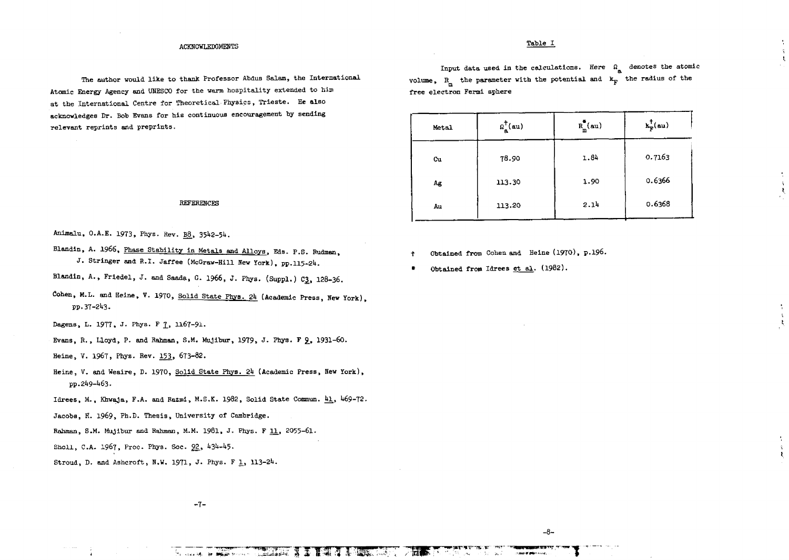#### **ACKNOWLEDGMENTS**

The author would like to thank Professor Abdus Salam, the International Atomic Energy Agency and UNESCO for the warm hospitality extended to him at the International Centre for Theoretical'Physics, Trieste. He also acknowledges Dr. Bob Evans for his continuous encouragement by sending relevant reprints and preprints.

Table I

Input data used in the calculations. Here  $\Omega_n$  denotes the atomic volume,  $R_{m}$  the parameter with the potential and  $k_{F}$  the radius of the free electron Fermi sphere

| Metal | $\Omega_{\mathbf{a}}^{\dagger}(\mathbf{a}\mathbf{u})$ | $R_m^{\bullet}$ (au) | $k_F^{\dagger}$ (au) |  |
|-------|-------------------------------------------------------|----------------------|----------------------|--|
| Cu    | 78.90                                                 | 1.84                 | 0.7163               |  |
| Ag    | 113.30                                                | 1.90                 | 0.6366               |  |
| Au    | 113.20                                                | 2.14                 | 0.6368               |  |

### REFERENCES

- Animalu, O.A.E. 1973, Phys. Rev. B8, 3542-54.
- Blandin, A. 1966, Phase Stability in Metals and Alloys. Eds. P.S. Rudman, J. Stringer and R.I. Jaffee (McGraw-Hill New York), pp.ll5-2U.
- Blandin, A., Friedel, J. and Saada, G. 1966, J. Phys. (Suppl.) C3, 128-36.
- Cohen, M.L. and Heine, V. 1970, Solid State Phys. 24 (Academic Press, New York), pp. 37-243.
- Dagens, L. 1977, J. Phys. F 7, 1167-91.
- Evans, R., Lloyd, P. and Rahman, S.M. Mujibur, 1979, J. Phys. F 9, 1931-60.
- Heine, V. 1967, Phys. Rev. 153, 673-82.
- Heine, V. and Weaire, D. 1970, Solid State Phys. 24 (Academic Press, New York), pp. 249-463.
- Idrees, M., Khwaja, F.A. and Razmi, M.S.K. 1982, Solid State Commun.  $\underline{H}$ , 469-72.
- Jacobs, R. 1969, Ph.D. Thesis, University of Cambridge.
- Rahman, S.M. Mujibur and Rahman, M.M. 1981, J. Phys. F 11, 2055-61.

Sholl, C.A. 1967, Proc. Phys. Soc. 92, 434-45.

Stroud, D. and Ashcroft, N.W. 1971, J. Phys. F  $\underline{1}$ , 113-2<sup>4</sup>.

- Obtained from Cohen and Heine (1970), p.196.
- Obtained from Idrees et al. (1982).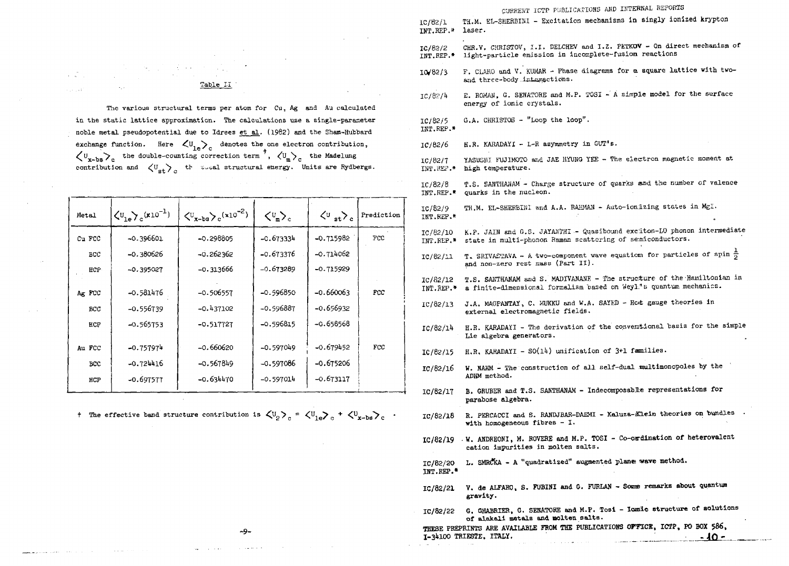Table II

The various structural terms per atom for Cu, Ag and Au calculated in the static lattice approximation. The calculations use a single-parameter noble metal pseudopotential due to Idrees et al. (1982) and the Sham-Hubbard exchange function. Here  $\langle U_{1} \rangle$  denotes the one electron contribution, contribution and  $\langle U_{st} \rangle$  the structural energy. Units are Rydbergs.  $\langle U_{x-hs}\rangle_c$  the double-counting correction term<sup>†</sup>,  $\langle U_{m}\rangle_c$  the Madelung

| Metal      | $\langle v_{1e} \rangle_c$ (x10 <sup>-1</sup> ) | $\langle U_{x-bs} \rangle_c (x10^{-2})$ | $\langle \begin{smallmatrix} 0 \\ \infty \end{smallmatrix} \rangle$ | $\langle \mathbf{u}_{st} \rangle_c$ | Prediction |
|------------|-------------------------------------------------|-----------------------------------------|---------------------------------------------------------------------|-------------------------------------|------------|
| Cu FCC     | $-0.396601$                                     | $-0.298805$                             | $-0.673334$                                                         | $-0.715982$                         | FCC        |
| BCC        | $-0.380626$                                     | $-0.262362$                             | $-0.673376$                                                         | -0.714062                           |            |
| HCP-       | $-0.395027$                                     | -0.313666                               | $-0.673289$                                                         | $-0.715929$                         |            |
| Ag PCC     | $-0.581476$                                     | -0.506557                               | -0.596850                                                           | $-0.660063$                         | FCC.       |
| <b>BCC</b> | $-0.556739$                                     | $-0.437102$                             | $-0.596887$                                                         | $-0.656932$                         |            |
| HCP        | $-0.565753$                                     | -0.517727                               | $-0.596815$                                                         | $-0.658568$                         |            |
| Au FCC     | $-0.757974$                                     | -0.660620                               | $-0.597049$                                                         | $-0.679452$                         | FCC        |
| <b>BCC</b> | $-0.724416$                                     | $-0.567849$                             | $-0.597086$                                                         | $-0.675206$                         |            |
| HCP        | -0.697577                                       | -0.634470                               | $-0.59701h$                                                         | -0.673117                           |            |

† The effective band structure contribution is  $\left\langle \mathbb{U}_{_{\text{O}}}\right\rangle_{_{\text{C}}}$  =  $\left\langle \mathbb{U}_{_{\text{1a}}}\right\rangle_{_{\text{C}}}$ .

CURRENT ICTP PUBLICATIONS AND INTERNAL REPORTS

IC/B2/1 TH.M. EL-SHERBINI - Excitation mechanisms in singly ionized krypton INT.REP.\* laser.

- IC/B2/2 CHR.V. CHRISTOV, I.I. PELCHEV and I.Z. PEXKOV On direct mechanism of
- INT.REP.\* light-particle emission in incomplete-fusion reactions
- ICV82/3 F. CLARO and V. KUMAR Phase diagrams for a square lattice with tvoand three-body interactions.
- IC/82A E. ROMAN, G. SENATORE and M.P. TOSI A simple model for the surface energy of ionic crystals.
- IC/82/5 G.A. CHRISTOS "Loop the loop".

1ST.REP.•

- IC/62/6 H.R. KARADAYI L-H asymmetry in GUT'S.
- IC/82/7 YASUSUI FUJ1M0T0 and JAE HYUNG YEE The electron magnetic moment at INT.HEP.\* high temperature.
- $IC/82/8$  T.S. SANTHAMAM Charge structure of quarks and the number of valence INT.KEF.\* quarks in the nucleon.
- IC/82/9 TH.M. EL-SHERBIMI and A.A. RAHMAH Auto-ionizing states in Mgl. INT.KEP.\*

IC/82/10 K.P. JAIN and G.S. JAYANTHI - Quasibound exciton-LO phonon intermediate INT.REP.\* state in multi-phonon Raman scattering of semiconductors.

- IC/82/11 T. SRIVASTAVA A two-component wave equation for particles of spin  $\frac{1}{2}$ and non-zero rest mass (Part II).
- IC/82/12 T.S. SANTHANAM and S. MADIVANANE The structure of the Hamiltonian in INT.REP.\* a finite-dimensional formalism based on Weyl's quantum mechanics.
- $IC/82/13$  J.A. MAGPANTAY, C. MUKKU and W.A. SAYED Hot gauge theories in external electromagnetic fields.
- $IC/82/14$  H.R. KARADAYI The derivation of the conventional basis for the simple Lie algebra generators.
- $IC/82/15$  H.R. KARADAYI SO(14) unification of 3+1 families.
- IC/82/16 W. NAHM The construction of all self-dual multimonopoles by the ADHM method.
- IC/82/17 B. GBUBER and T.S. SAHTHAHAM Indecomposable representations for parabose algebra.
- IC/82/18 R. PERCACCI and S. RANDJBAR-DAEMI Kaluza-Klein theories on bundles with homogeneous fibres - I.
- IC/82/19 W. ANDREONI, M. ROVERE and M.P. TOSI Co-ordination of heterovalent cation impurities in molten salts,

IC/82/20 L. SMRCKA - A "quadratized" augmented plane wave method. IHT.REP.\*

- IC/82/21 V. de ALFARO, S. FUBINI and G. FURLAN Somme remarks about quantum gravity.
- IC/82/22 G. GHABRIER, G. SENATORE and M.P. Tosi Iomic structure of solutions of alakall metals and molten salts.

THESE PREPRINTS ARE AVAILABLE FROM THE PUBLICATIONS OFFICE, ICTP, PO BOX 586. 1-34100 TRIESTE, ITALY.  $-10-$